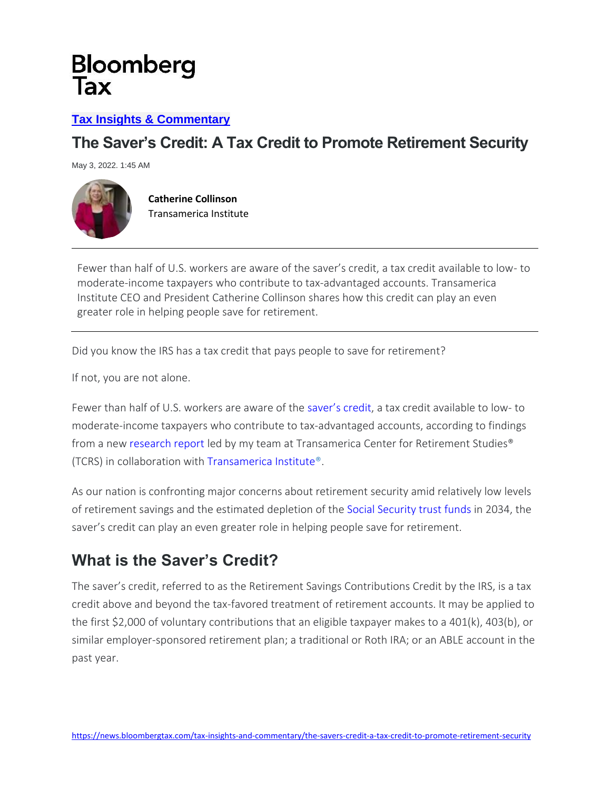#### **[Tax Insights & Commentary](https://news.bloomberglaw.com/tax-insights-and-commentary/)**

### **The Saver's Credit: A Tax Credit to Promote Retirement Security**

May 3, 2022. 1:45 AM



**Catherine Collinson** Transamerica Institute

Fewer than half of U.S. workers are aware of the saver's credit, a tax credit available to low- to moderate-income taxpayers who contribute to tax-advantaged accounts. Transamerica Institute CEO and President Catherine Collinson shares how this credit can play an even greater role in helping people save for retirement.

Did you know the IRS has a tax credit that pays people to save for retirement?

If not, you are not alone.

Fewer than half of U.S. workers are aware of the [saver's credit](https://www.transamericainstitute.org/savers-credit), a tax credit available to low- to moderate-income taxpayers who contribute to tax-advantaged accounts, according to findings from a new [research report](https://transamericainstitute.org/docs/default-source/saverscredit/savers-credit-trends-report-2022.pdf) led by my team at Transamerica Center for Retirement Studies® (TCRS) in collaboration with [Transamerica Institute®.](http://www.transamericainstitute.org/)

As our nation is confronting major concerns about retirement security amid relatively low levels of retirement savings and the estimated depletion of the [Social Security trust funds](https://www.ssa.gov/oact/trsum/) in 2034, the saver's credit can play an even greater role in helping people save for retirement.

### **What is the Saver's Credit?**

The saver's credit, referred to as the Retirement Savings Contributions Credit by the IRS, is a tax credit above and beyond the tax-favored treatment of retirement accounts. It may be applied to the first \$2,000 of voluntary contributions that an eligible taxpayer makes to a 401(k), 403(b), or similar employer-sponsored retirement plan; a traditional or Roth IRA; or an ABLE account in the past year.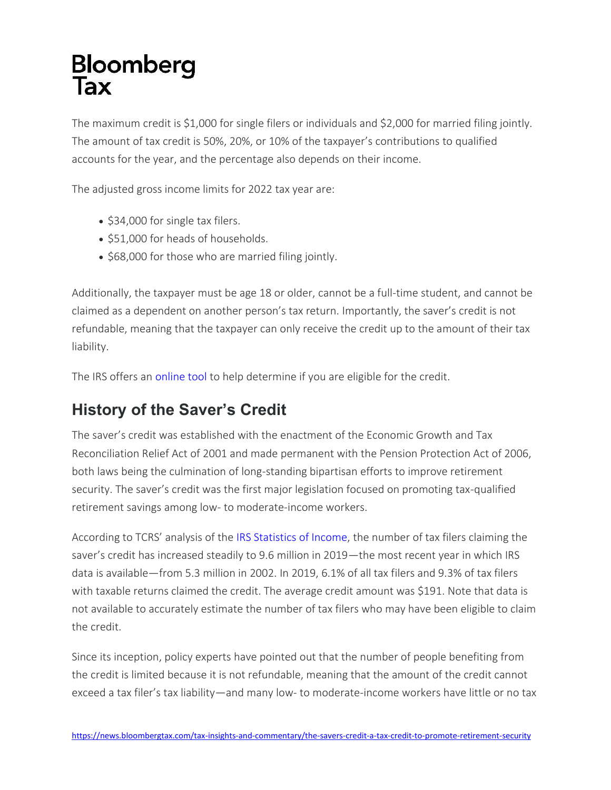The maximum credit is \$1,000 for single filers or individuals and \$2,000 for married filing jointly. The amount of tax credit is 50%, 20%, or 10% of the taxpayer's contributions to qualified accounts for the year, and the percentage also depends on their income.

The adjusted gross income limits for 2022 tax year are:

- \$34,000 for single tax filers.
- \$51,000 for heads of households.
- \$68,000 for those who are married filing jointly.

Additionally, the taxpayer must be age 18 or older, cannot be a full-time student, and cannot be claimed as a dependent on another person's tax return. Importantly, the saver's credit is not refundable, meaning that the taxpayer can only receive the credit up to the amount of their tax liability.

The IRS offers an [online tool](https://www.irs.gov/help/ita/do-i-qualify-for-the-retirement-savings-contributions-credit) to help determine if you are eligible for the credit.

## **History of the Saver's Credit**

The saver's credit was established with the enactment of the Economic Growth and Tax Reconciliation Relief Act of 2001 and made permanent with the Pension Protection Act of 2006, both laws being the culmination of long-standing bipartisan efforts to improve retirement security. The saver's credit was the first major legislation focused on promoting tax-qualified retirement savings among low- to moderate-income workers.

According to TCRS' analysis of the [IRS Statistics of Income,](https://www.irs.gov/statistics/soi-tax-stats-individual-tax-statistics) the number of tax filers claiming the saver's credit has increased steadily to 9.6 million in 2019—the most recent year in which IRS data is available—from 5.3 million in 2002. In 2019, 6.1% of all tax filers and 9.3% of tax filers with taxable returns claimed the credit. The average credit amount was \$191. Note that data is not available to accurately estimate the number of tax filers who may have been eligible to claim the credit.

Since its inception, policy experts have pointed out that the number of people benefiting from the credit is limited because it is not refundable, meaning that the amount of the credit cannot exceed a tax filer's tax liability—and many low- to moderate-income workers have little or no tax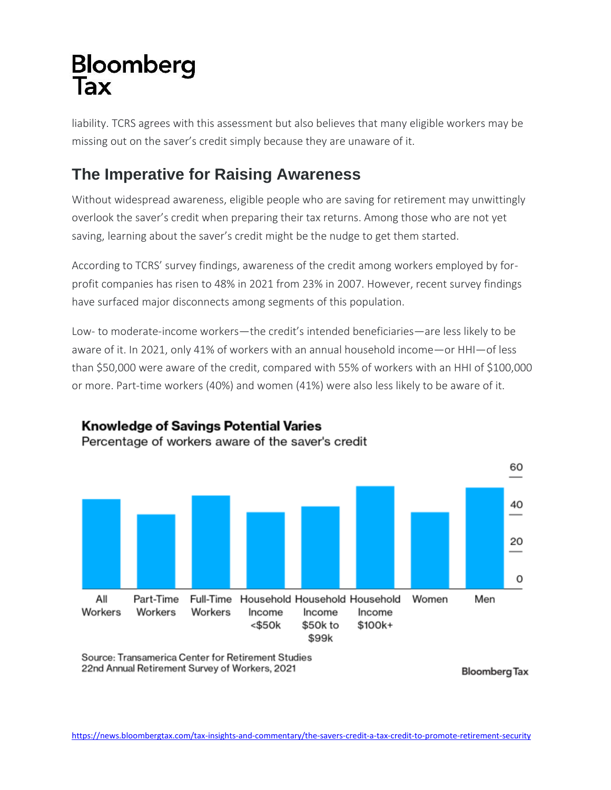liability. TCRS agrees with this assessment but also believes that many eligible workers may be missing out on the saver's credit simply because they are unaware of it.

## **The Imperative for Raising Awareness**

Without widespread awareness, eligible people who are saving for retirement may unwittingly overlook the saver's credit when preparing their tax returns. Among those who are not yet saving, learning about the saver's credit might be the nudge to get them started.

According to TCRS' survey findings, awareness of the credit among workers employed by forprofit companies has risen to 48% in 2021 from 23% in 2007. However, recent survey findings have surfaced major disconnects among segments of this population.

Low- to moderate-income workers—the credit's intended beneficiaries—are less likely to be aware of it. In 2021, only 41% of workers with an annual household income—or HHI—of less than \$50,000 were aware of the credit, compared with 55% of workers with an HHI of \$100,000 or more. Part-time workers (40%) and women (41%) were also less likely to be aware of it.



**Knowledge of Savings Potential Varies** 

Percentage of workers aware of the saver's credit

Source: Transamerica Center for Retirement Studies 22nd Annual Retirement Survey of Workers, 2021

**Bloomberg Tax**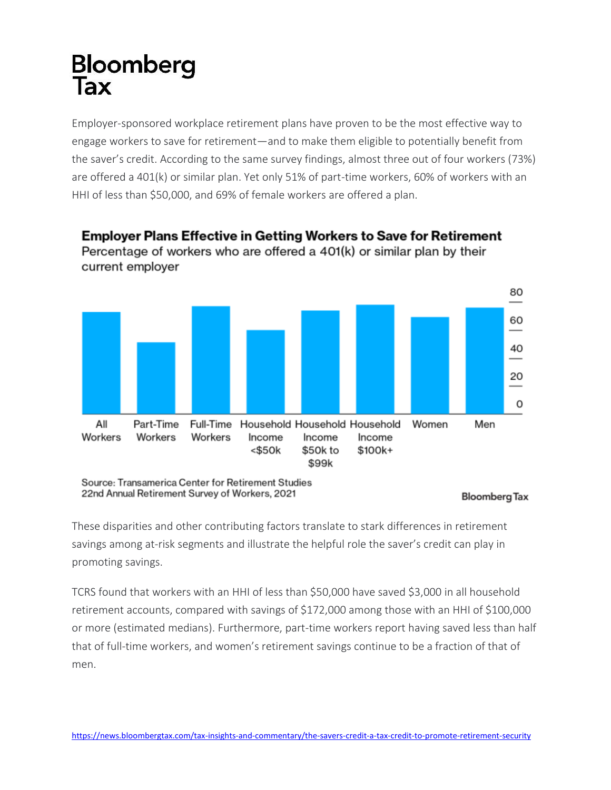Employer-sponsored workplace retirement plans have proven to be the most effective way to engage workers to save for retirement—and to make them eligible to potentially benefit from the saver's credit. According to the same survey findings, almost three out of four workers (73%) are offered a 401(k) or similar plan. Yet only 51% of part-time workers, 60% of workers with an HHI of less than \$50,000, and 69% of female workers are offered a plan.



#### **Employer Plans Effective in Getting Workers to Save for Retirement** Percentage of workers who are offered a 401(k) or similar plan by their current employer

Source: Transamerica Center for Retirement Studies 22nd Annual Retirement Survey of Workers, 2021

These disparities and other contributing factors translate to stark differences in retirement savings among at-risk segments and illustrate the helpful role the saver's credit can play in promoting savings.

TCRS found that workers with an HHI of less than \$50,000 have saved \$3,000 in all household retirement accounts, compared with savings of \$172,000 among those with an HHI of \$100,000 or more (estimated medians). Furthermore, part-time workers report having saved less than half that of full-time workers, and women's retirement savings continue to be a fraction of that of men.

Bloomberg Tax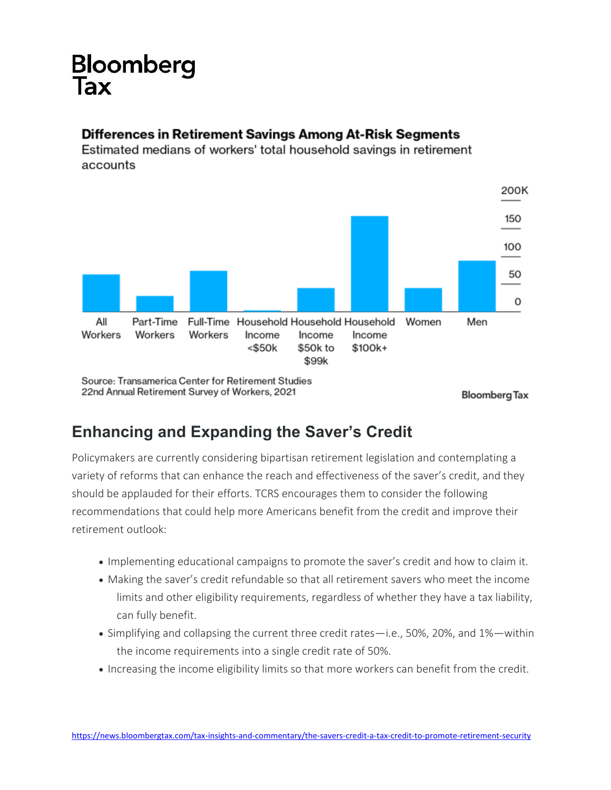# **Bloomberg**

#### Differences in Retirement Savings Among At-Risk Segments

Estimated medians of workers' total household savings in retirement accounts



## **Enhancing and Expanding the Saver's Credit**

Policymakers are currently considering bipartisan retirement legislation and contemplating a variety of reforms that can enhance the reach and effectiveness of the saver's credit, and they should be applauded for their efforts. TCRS encourages them to consider the following recommendations that could help more Americans benefit from the credit and improve their retirement outlook:

- Implementing educational campaigns to promote the saver's credit and how to claim it.
- Making the saver's credit refundable so that all retirement savers who meet the income limits and other eligibility requirements, regardless of whether they have a tax liability, can fully benefit.
- Simplifying and collapsing the current three credit rates—i.e., 50%, 20%, and 1%—within the income requirements into a single credit rate of 50%.
- Increasing the income eligibility limits so that more workers can benefit from the credit.